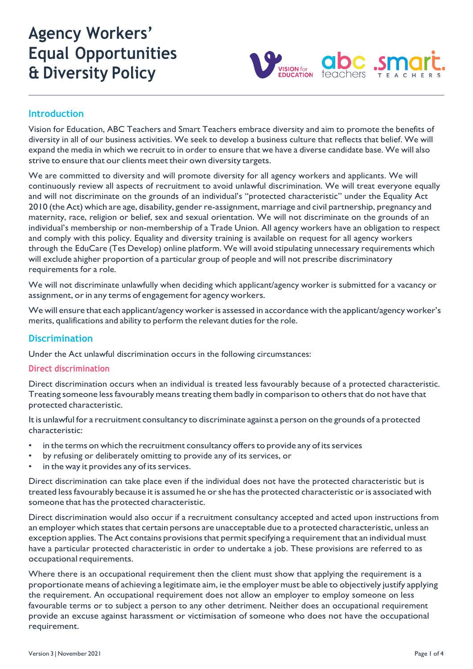# **Agency Workers' Equal Opportunities & Diversity Policy**



## **Introduction**

Vision for Education, ABC Teachers and Smart Teachers embrace diversity and aim to promote the benefits of diversity in all of our business activities. We seek to develop a business culture that reflects that belief. We will expand the media in which we recruit to in order to ensure that we have a diverse candidate base. We will also strive to ensure that our clients meet their own diversity targets.

We are committed to diversity and will promote diversity for all agency workers and applicants. We will continuously review all aspects of recruitment to avoid unlawful discrimination. We will treat everyone equally and will not discriminate on the grounds of an individual's "protected characteristic" under the Equality Act 2010 (theAct) which are age, disability, genderre-assignment, marriage and civil partnership, pregnancy and maternity, race, religion or belief, sex and sexual orientation. We will not discriminate on the grounds of an individual's membership or non-membership of a Trade Union. All agency workers have an obligation to respect and comply with this policy. Equality and diversity training is available on request for all agency workers through the EduCare (Tes Develop) online platform. We will avoid stipulating unnecessary requirements which will exclude ahigher proportion of a particular group of people and will not prescribe discriminatory requirements for a role.

We will not discriminate unlawfully when deciding which applicant/agency worker is submitted for a vacancy or assignment, or in any terms of engagement for agency workers.

We will ensure that each applicant/agency workeris assessed in accordance with the applicant/agency worker's merits, qualifications and ability to perform the relevant duties for the role.

## **Discrimination**

Under the Act unlawful discrimination occurs in the following circumstances:

#### **Direct discrimination**

Direct discrimination occurs when an individual is treated less favourably because of a protected characteristic. Treating someone less favourably means treating them badly in comparison to others that do not have that protected characteristic.

It is unlawful for a recruitment consultancy to discriminate against a person on the grounds of a protected characteristic:

- in the terms on which the recruitment consultancy offers to provide any of its services
- by refusing or deliberately omitting to provide any of its services, or
- in the way it provides any of its services.

Direct discrimination can take place even if the individual does not have the protected characteristic but is treated less favourably because it is assumed he or she has the protected characteristic or is associated with someone that has the protected characteristic.

Direct discrimination would also occur if a recruitment consultancy accepted and acted upon instructions from an employer which states that certain persons are unacceptable due to a protected characteristic, unless an exception applies. The Act contains provisions that permit specifying a requirement that an individual must have a particular protected characteristic in order to undertake a job. These provisions are referred to as occupational requirements.

Where there is an occupational requirement then the client must show that applying the requirement is a proportionate means of achieving a legitimate aim, ie the employer must be able to objectively justify applying the requirement. An occupational requirement does not allow an employer to employ someone on less favourable terms or to subject a person to any other detriment. Neither does an occupational requirement provide an excuse against harassment or victimisation of someone who does not have the occupational requirement.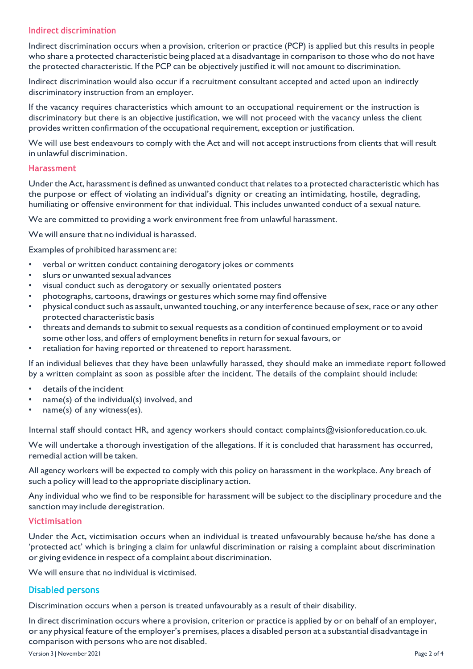### **Indirect discrimination**

Indirect discrimination occurs when a provision, criterion or practice (PCP) is applied but this results in people who share a protected characteristic being placed at a disadvantage in comparison to those who do not have the protected characteristic. If the PCP can be objectively justified it will not amount to discrimination.

Indirect discrimination would also occur if a recruitment consultant accepted and acted upon an indirectly discriminatory instruction from an employer.

If the vacancy requires characteristics which amount to an occupational requirement or the instruction is discriminatory but there is an objective justification, we will not proceed with the vacancy unless the client provides written confirmation of the occupational requirement, exception or justification.

We will use best endeavours to comply with the Act and will not accept instructions from clients that will result in unlawful discrimination.

#### **Harassment**

Under the Act, harassment is defined as unwanted conduct that relates to a protected characteristic which has the purpose or effect of violating an individual's dignity or creating an intimidating, hostile, degrading, humiliating or offensive environment for that individual. This includes unwanted conduct of a sexual nature.

We are committed to providing a work environment free from unlawful harassment.

We will ensure that no individual is harassed.

Examples of prohibited harassment are:

- verbal or written conduct containing derogatory jokes or comments
- slurs or unwanted sexual advances
- visual conduct such as derogatory or sexually orientated posters
- photographs, cartoons, drawings or gestures which some may find offensive
- physical conduct such as assault, unwanted touching, or any interference because of sex, race or any other protected characteristic basis
- threats and demands to submit to sexual requests as a condition of continued employment or to avoid some other loss, and offers of employment benefits in return for sexual favours, or
- retaliation for having reported or threatened to report harassment.

If an individual believes that they have been unlawfully harassed, they should make an immediate report followed by a written complaint as soon as possible after the incident. The details of the complaint should include:

- details of the incident
- name(s) of the individual(s) involved, and
- $name(s)$  of any witness(es).

Internal staff should contact HR, and agency workers should contact complaints@visionforeducation.co.uk.

We will undertake a thorough investigation of the allegations. If it is concluded that harassment has occurred, remedial action will be taken.

All agency workers will be expected to comply with this policy on harassment in the workplace. Any breach of such a policy will lead to the appropriate disciplinary action.

Any individual who we find to be responsible for harassment will be subject to the disciplinary procedure and the sanction may include deregistration.

### **Victimisation**

Under the Act, victimisation occurs when an individual is treated unfavourably because he/she has done a 'protected act' which is bringing a claim for unlawful discrimination or raising a complaint about discrimination or giving evidence in respect of a complaint about discrimination.

We will ensure that no individual is victimised.

## **Disabled persons**

Discrimination occurs when a person is treated unfavourably as a result of their disability.

In direct discrimination occurs where a provision, criterion or practice is applied by or on behalf of an employer, or any physical feature of the employer's premises, places a disabled person at a substantial disadvantage in comparison with persons who are not disabled.

Version 3 | November 2021 Page 2 of 4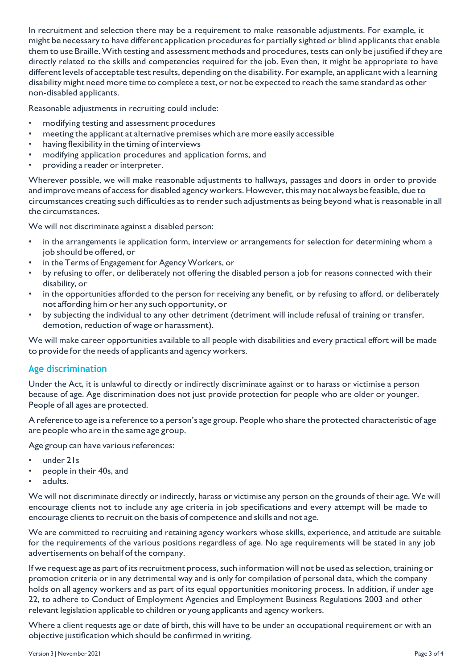In recruitment and selection there may be a requirement to make reasonable adjustments. For example, it might be necessary to have different application procedures for partially sighted or blind applicants that enable them to use Braille.With testing and assessment methods and procedures, tests can only be justified if they are directly related to the skills and competencies required for the job. Even then, it might be appropriate to have different levels of acceptable test results, depending on the disability. For example, an applicant with a learning disability might need more time to complete a test, or not be expected to reach the same standard as other non-disabled applicants.

Reasonable adjustments in recruiting could include:

- modifying testing and assessment procedures
- meeting the applicant at alternative premises which are more easily accessible
- having flexibility in the timing of interviews
- modifying application procedures and application forms, and
- providing a reader or interpreter.

Wherever possible, we will make reasonable adjustments to hallways, passages and doors in order to provide and improve means of access for disabled agency workers. However, this may not always be feasible, due to circumstances creating such difficulties as to render such adjustments as being beyond what is reasonable in all the circumstances.

We will not discriminate against a disabled person:

- in the arrangements ie application form, interview or arrangements for selection for determining whom a job should be offered, or
- in the Terms of Engagement for Agency Workers, or
- by refusing to offer, or deliberately not offering the disabled person a job for reasons connected with their disability, or
- in the opportunities afforded to the person for receiving any benefit, or by refusing to afford, or deliberately not affording him or her any such opportunity, or
- by subjecting the individual to any other detriment (detriment will include refusal of training or transfer, demotion, reduction of wage or harassment).

We will make career opportunities available to all people with disabilities and every practical effort will be made to provide for the needs of applicants and agency workers.

## **Age discrimination**

Under the Act, it is unlawful to directly or indirectly discriminate against or to harass or victimise a person because of age. Age discrimination does not just provide protection for people who are older or younger. People of all ages are protected.

A reference to age is a reference to a person's age group. People who share the protected characteristic of age are people who are in the same age group.

Age group can have various references:

- under 21s
- people in their 40s, and
- adults.

We will not discriminate directly or indirectly, harass or victimise any person on the grounds of their age. We will encourage clients not to include any age criteria in job specifications and every attempt will be made to encourage clients to recruit on the basis of competence and skills and not age.

We are committed to recruiting and retaining agency workers whose skills, experience, and attitude are suitable for the requirements of the various positions regardless of age. No age requirements will be stated in any job advertisements on behalf of the company.

If we request age as part of its recruitment process, such information will not be used as selection, training or promotion criteria or in any detrimental way and is only for compilation of personal data, which the company holds on all agency workers and as part of its equal opportunities monitoring process. In addition, if under age 22, to adhere to Conduct of Employment Agencies and Employment Business Regulations 2003 and other relevant legislation applicable to children or young applicants and agency workers.

Where a client requests age or date of birth, this will have to be under an occupational requirement or with an objective justification which should be confirmed in writing.